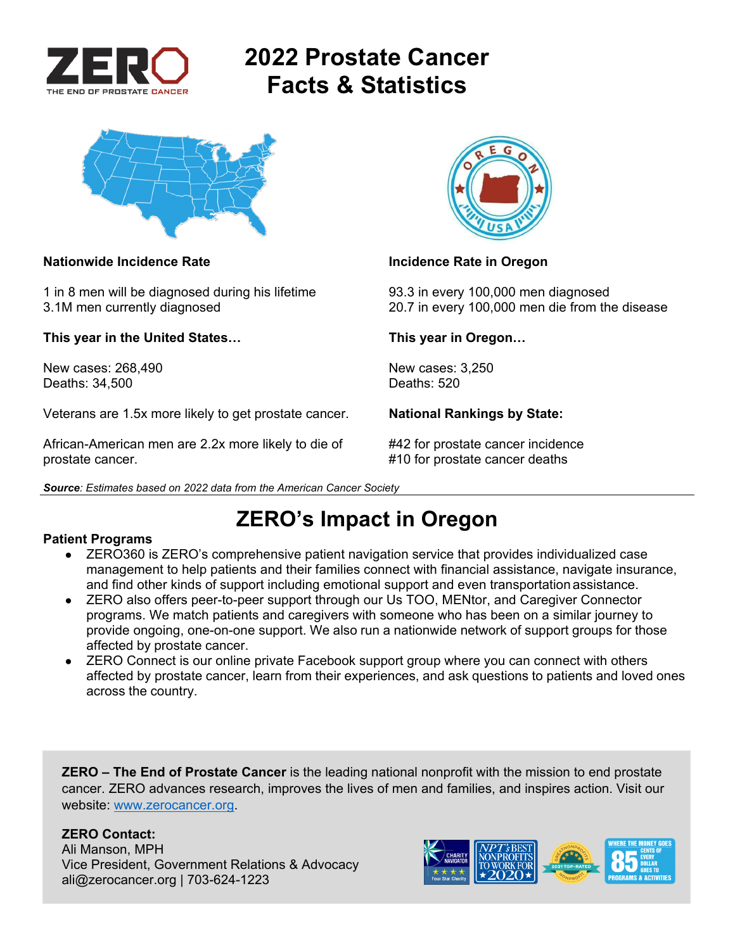

# **2022 Prostate Cancer Facts & Statistics**



### **Nationwide Incidence Rate Incidence Rate in Oregon Nationwide Incidence Rate in Oregon**

1 in 8 men will be diagnosed during his lifetime 93.3 in every 100,000 men diagnosed

**This year in the United States… This year in Oregon…** 

New cases: 268,490 New cases: 3,250<br>Deaths: 34.500 Deaths: 520 Deaths: 34,500

Veterans are 1.5x more likely to get prostate cancer. **National Rankings by State:** 

African-American men are 2.2x more likely to die of #42 for prostate cancer incidence prostate cancer. #10 for prostate cancer deaths





3.1M men currently diagnosed 20.7 in every 100,000 men die from the disease

**ZERO's Impact in Oregon** 

### **Patient Programs**

- ZERO360 is ZERO's comprehensive patient navigation service that provides individualized case management to help patients and their families connect with financial assistance, navigate insurance, and find other kinds of support including emotional support and even transportation assistance.
- ZERO also offers peer-to-peer support through our Us TOO, MENtor, and Caregiver Connector programs. We match patients and caregivers with someone who has been on a similar journey to provide ongoing, one-on-one support. We also run a nationwide network of support groups for those affected by prostate cancer.
- ZERO Connect is our online private Facebook support group where you can connect with others affected by prostate cancer, learn from their experiences, and ask questions to patients and loved ones across the country.

**ZERO – The End of Prostate Cancer** is the leading national nonprofit with the mission to end prostate cancer. ZERO advances research, improves the lives of men and families, and inspires action. Visit our website: www.zerocancer.org.

## **ZERO Contact:**

Ali Manson, MPH Vice President, Government Relations & Advocacy ali@zerocancer.org | 703-624-1223

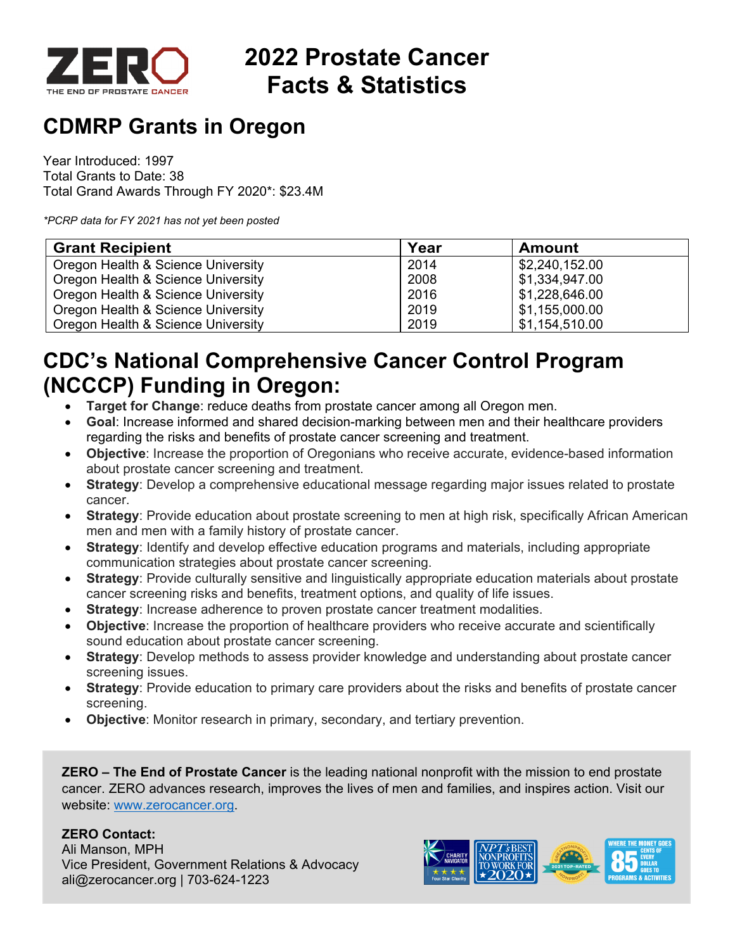

# **2022 Prostate Cancer Facts & Statistics**

## **CDMRP Grants in Oregon**

Year Introduced: 1997 Total Grants to Date: 38 Total Grand Awards Through FY 2020\*: \$23.4M

*\*PCRP data for FY 2021 has not yet been posted* 

| <b>Grant Recipient</b>             | Year | <b>Amount</b>  |
|------------------------------------|------|----------------|
| Oregon Health & Science University | 2014 | \$2,240,152.00 |
| Oregon Health & Science University | 2008 | \$1,334,947.00 |
| Oregon Health & Science University | 2016 | \$1,228,646.00 |
| Oregon Health & Science University | 2019 | \$1,155,000.00 |
| Oregon Health & Science University | 2019 | \$1,154,510.00 |

## **CDC's National Comprehensive Cancer Control Program (NCCCP) Funding in Oregon:**

- **Target for Change**: reduce deaths from prostate cancer among all Oregon men.
- **Goal**: Increase informed and shared decision-marking between men and their healthcare providers regarding the risks and benefits of prostate cancer screening and treatment.
- **Objective**: Increase the proportion of Oregonians who receive accurate, evidence-based information about prostate cancer screening and treatment.
- **Strategy**: Develop a comprehensive educational message regarding major issues related to prostate cancer.
- **Strategy**: Provide education about prostate screening to men at high risk, specifically African American men and men with a family history of prostate cancer.
- **Strategy**: Identify and develop effective education programs and materials, including appropriate communication strategies about prostate cancer screening.
- **Strategy**: Provide culturally sensitive and linguistically appropriate education materials about prostate cancer screening risks and benefits, treatment options, and quality of life issues.
- **Strategy:** Increase adherence to proven prostate cancer treatment modalities.
- **Objective**: Increase the proportion of healthcare providers who receive accurate and scientifically sound education about prostate cancer screening.
- **Strategy**: Develop methods to assess provider knowledge and understanding about prostate cancer screening issues.
- **Strategy**: Provide education to primary care providers about the risks and benefits of prostate cancer screening.
- **Objective**: Monitor research in primary, secondary, and tertiary prevention.

**ZERO – The End of Prostate Cancer** is the leading national nonprofit with the mission to end prostate cancer. ZERO advances research, improves the lives of men and families, and inspires action. Visit our website: www.zerocancer.org.

## **ZERO Contact:**

Ali Manson, MPH Vice President, Government Relations & Advocacy ali@zerocancer.org | 703-624-1223